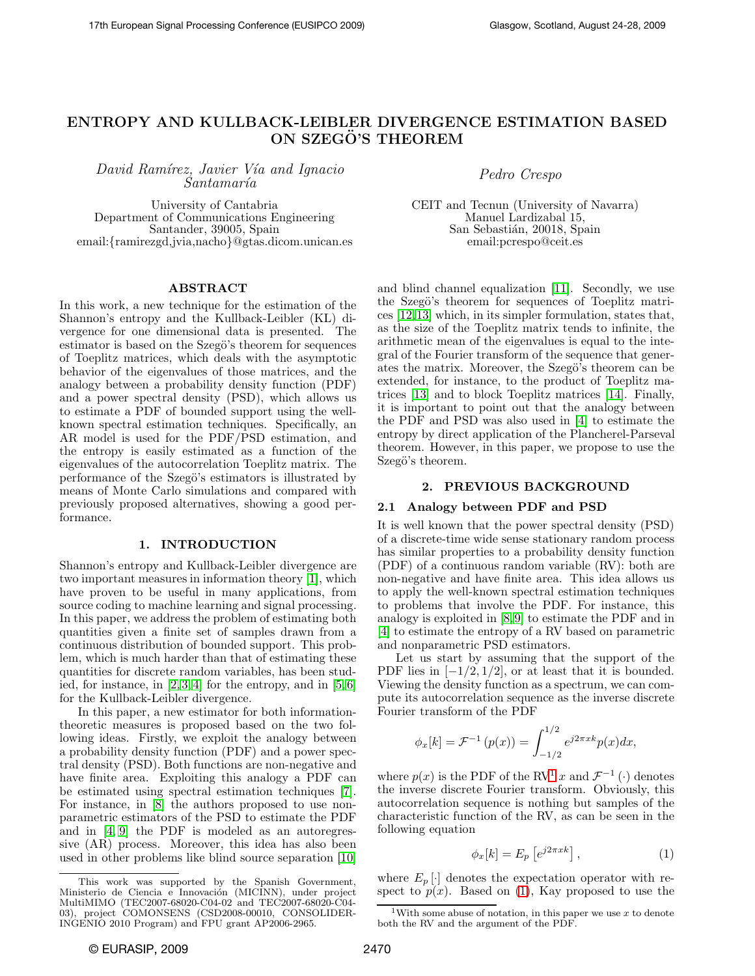# ENTROPY AND KULLBACK-LEIBLER DIVERGENCE ESTIMATION BASED ON SZEGÖ'S THEOREM

David Ram´ırez, Javier V´ıa and Ignacio Santamar´ıa Pedro Crespo

University of Cantabria Department of Communications Engineering Santander, 39005, Spain email:{ramirezgd,jvia,nacho}@gtas.dicom.unican.es

## ABSTRACT

In this work, a new technique for the estimation of the Shannon's entropy and the Kullback-Leibler (KL) divergence for one dimensional data is presented. The estimator is based on the Szegö's theorem for sequences of Toeplitz matrices, which deals with the asymptotic behavior of the eigenvalues of those matrices, and the analogy between a probability density function (PDF) and a power spectral density (PSD), which allows us to estimate a PDF of bounded support using the wellknown spectral estimation techniques. Specifically, an AR model is used for the PDF/PSD estimation, and the entropy is easily estimated as a function of the eigenvalues of the autocorrelation Toeplitz matrix. The performance of the Szegö's estimators is illustrated by means of Monte Carlo simulations and compared with previously proposed alternatives, showing a good performance.

## 1. INTRODUCTION

Shannon's entropy and Kullback-Leibler divergence are two important measures in information theory [\[1\]](#page-4-0), which have proven to be useful in many applications, from source coding to machine learning and signal processing. In this paper, we address the problem of estimating both quantities given a finite set of samples drawn from a continuous distribution of bounded support. This problem, which is much harder than that of estimating these quantities for discrete random variables, has been studied, for instance, in  $[2,3,4]$  for the entropy, and in  $[5,6]$ for the Kullback-Leibler divergence.

In this paper, a new estimator for both informationtheoretic measures is proposed based on the two following ideas. Firstly, we exploit the analogy between a probability density function (PDF) and a power spectral density (PSD). Both functions are non-negative and have finite area. Exploiting this analogy a PDF can be estimated using spectral estimation techniques [\[7\]](#page-4-6). For instance, in [\[8\]](#page-4-7) the authors proposed to use nonparametric estimators of the PSD to estimate the PDF and in [\[4,](#page-4-3) [9\]](#page-4-8) the PDF is modeled as an autoregressive (AR) process. Moreover, this idea has also been used in other problems like blind source separation [\[10\]](#page-4-9)

CEIT and Tecnun (University of Navarra) Manuel Lardizabal 15, San Sebastián, 20018, Spain email:pcrespo@ceit.es

and blind channel equalization [\[11\]](#page-4-10). Secondly, we use the Szegö's theorem for sequences of Toeplitz matrices [\[12,](#page-4-11)[13\]](#page-4-12) which, in its simpler formulation, states that, as the size of the Toeplitz matrix tends to infinite, the arithmetic mean of the eigenvalues is equal to the integral of the Fourier transform of the sequence that generates the matrix. Moreover, the Szegö's theorem can be extended, for instance, to the product of Toeplitz matrices [\[13\]](#page-4-12) and to block Toeplitz matrices [\[14\]](#page-4-13). Finally, it is important to point out that the analogy between the PDF and PSD was also used in [\[4\]](#page-4-3) to estimate the entropy by direct application of the Plancherel-Parseval theorem. However, in this paper, we propose to use the Szegö's theorem.

#### 2. PREVIOUS BACKGROUND

#### 2.1 Analogy between PDF and PSD

It is well known that the power spectral density (PSD) of a discrete-time wide sense stationary random process has similar properties to a probability density function (PDF) of a continuous random variable (RV): both are non-negative and have finite area. This idea allows us to apply the well-known spectral estimation techniques to problems that involve the PDF. For instance, this analogy is exploited in [\[8,](#page-4-7)[9\]](#page-4-8) to estimate the PDF and in [\[4\]](#page-4-3) to estimate the entropy of a RV based on parametric and nonparametric PSD estimators.

Let us start by assuming that the support of the PDF lies in  $[-1/2, 1/2]$ , or at least that it is bounded. Viewing the density function as a spectrum, we can compute its autocorrelation sequence as the inverse discrete Fourier transform of the PDF

$$
\phi_x[k] = \mathcal{F}^{-1}(p(x)) = \int_{-1/2}^{1/2} e^{j2\pi x k} p(x) dx,
$$

where  $p(x)$  is the PDF of the RV<sup>[1](#page-0-0)</sup> x and  $\mathcal{F}^{-1}(\cdot)$  denotes the inverse discrete Fourier transform. Obviously, this autocorrelation sequence is nothing but samples of the characteristic function of the RV, as can be seen in the following equation

<span id="page-0-1"></span>
$$
\phi_x[k] = E_p \left[ e^{j2\pi xk} \right],\tag{1}
$$

where  $E_p[\cdot]$  denotes the expectation operator with respect to  $p(x)$ . Based on [\(1\)](#page-0-1), Kay proposed to use the

This work was supported by the Spanish Government, Ministerio de Ciencia e Innovación (MICINN), under project MultiMIMO (TEC2007-68020-C04-02 and TEC2007-68020-C04- 03), project COMONSENS (CSD2008-00010, CONSOLIDER-INGENIO 2010 Program) and FPU grant AP2006-2965.

<span id="page-0-0"></span><sup>&</sup>lt;sup>1</sup>With some abuse of notation, in this paper we use  $x$  to denote both the RV and the argument of the PDF.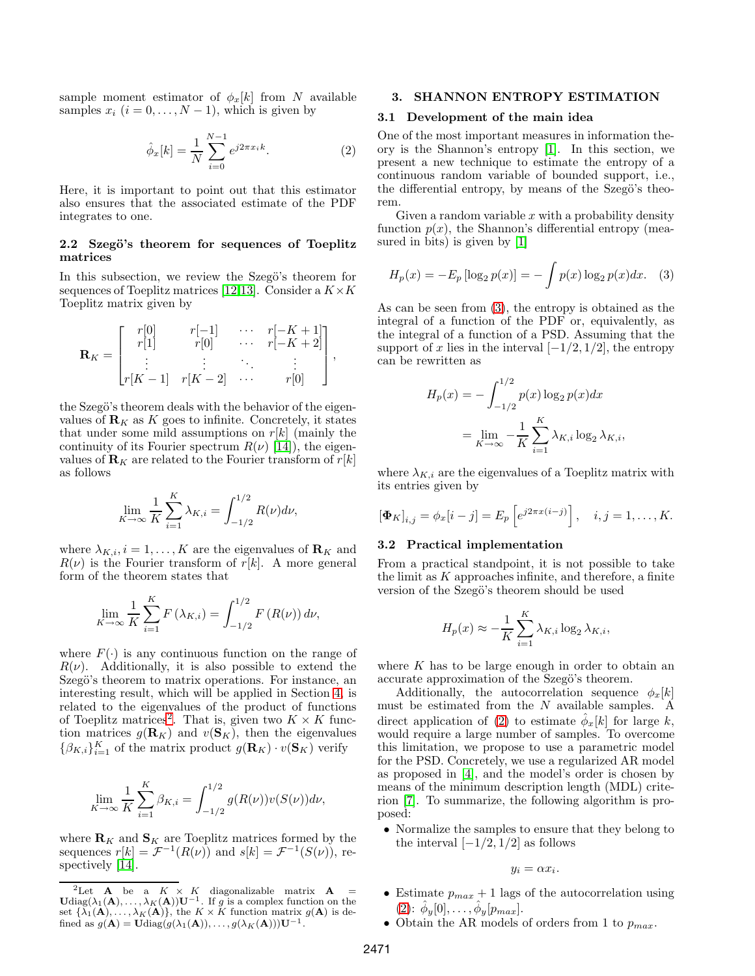sample moment estimator of  $\phi_x[k]$  from N available samples  $x_i$   $(i = 0, \ldots, N - 1)$ , which is given by

<span id="page-1-2"></span>
$$
\hat{\phi}_x[k] = \frac{1}{N} \sum_{i=0}^{N-1} e^{j2\pi x_i k}.
$$
 (2)

Here, it is important to point out that this estimator also ensures that the associated estimate of the PDF integrates to one.

# <span id="page-1-3"></span>2.2 Szegö's theorem for sequences of Toeplitz matrices

In this subsection, we review the Szegö's theorem for sequences of Toeplitz matrices [\[12,](#page-4-11)[13\]](#page-4-12). Consider a  $K \times K$ Toeplitz matrix given by

$$
\mathbf{R}_K = \begin{bmatrix} r[0] & r[-1] & \cdots & r[-K+1] \\ r[1] & r[0] & \cdots & r[-K+2] \\ \vdots & \vdots & \ddots & \vdots \\ r[K-1] & r[K-2] & \cdots & r[0] \end{bmatrix},
$$

the Szegö's theorem deals with the behavior of the eigenvalues of  $\mathbf{R}_K$  as K goes to infinite. Concretely, it states that under some mild assumptions on  $r[k]$  (mainly the continuity of its Fourier spectrum  $R(\nu)$  [\[14\]](#page-4-13)), the eigenvalues of  $\mathbf{R}_K$  are related to the Fourier transform of  $r[k]$ as follows

$$
\lim_{K \to \infty} \frac{1}{K} \sum_{i=1}^{K} \lambda_{K,i} = \int_{-1/2}^{1/2} R(\nu) d\nu,
$$

where  $\lambda_{K,i}, i = 1, \ldots, K$  are the eigenvalues of  $\mathbf{R}_{K}$  and  $R(\nu)$  is the Fourier transform of r[k]. A more general form of the theorem states that

$$
\lim_{K \to \infty} \frac{1}{K} \sum_{i=1}^{K} F(\lambda_{K,i}) = \int_{-1/2}^{1/2} F(R(\nu)) d\nu,
$$

where  $F(\cdot)$  is any continuous function on the range of  $R(\nu)$ . Additionally, it is also possible to extend the Szegö's theorem to matrix operations. For instance, an interesting result, which will be applied in Section [4,](#page-2-0) is related to the eigenvalues of the product of functions of Toeplitz matrices<sup>[2](#page-1-0)</sup>. That is, given two  $K \times K$  function matrices  $g(\mathbf{R}_K)$  and  $v(\mathbf{S}_K)$ , then the eigenvalues  $\{\beta_{K,i}\}_{i=1}^K$  of the matrix product  $g(\mathbf{R}_K) \cdot v(\mathbf{S}_K)$  verify

$$
\lim_{K \to \infty} \frac{1}{K} \sum_{i=1}^{K} \beta_{K,i} = \int_{-1/2}^{1/2} g(R(\nu)) v(S(\nu)) d\nu,
$$

where  $\mathbf{R}_K$  and  $\mathbf{S}_K$  are Toeplitz matrices formed by the sequences  $r[k] = \mathcal{F}^{-1}(R(\nu))$  and  $s[k] = \mathcal{F}^{-1}(S(\nu))$ , re-spectively [\[14\]](#page-4-13).

# 3. SHANNON ENTROPY ESTIMATION

#### 3.1 Development of the main idea

One of the most important measures in information theory is the Shannon's entropy [\[1\]](#page-4-0). In this section, we present a new technique to estimate the entropy of a continuous random variable of bounded support, i.e., the differential entropy, by means of the Szegö's theorem.

Given a random variable  $x$  with a probability density function  $p(x)$ , the Shannon's differential entropy (measured in bits) is given by [\[1\]](#page-4-0)

<span id="page-1-1"></span>
$$
H_p(x) = -E_p [\log_2 p(x)] = -\int p(x) \log_2 p(x) dx.
$$
 (3)

As can be seen from [\(3\)](#page-1-1), the entropy is obtained as the integral of a function of the PDF or, equivalently, as the integral of a function of a PSD. Assuming that the support of x lies in the interval  $[-1/2, 1/2]$ , the entropy can be rewritten as

$$
H_p(x) = -\int_{-1/2}^{1/2} p(x) \log_2 p(x) dx
$$
  
= 
$$
\lim_{K \to \infty} -\frac{1}{K} \sum_{i=1}^K \lambda_{K,i} \log_2 \lambda_{K,i},
$$

where  $\lambda_{K,i}$  are the eigenvalues of a Toeplitz matrix with its entries given by

$$
\left[\mathbf{\Phi}_K\right]_{i,j} = \phi_x[i-j] = E_p\left[e^{j2\pi x(i-j)}\right], \quad i,j = 1,\dots, K.
$$

#### 3.2 Practical implementation

From a practical standpoint, it is not possible to take the limit as  $K$  approaches infinite, and therefore, a finite version of the Szegö's theorem should be used

$$
H_p(x) \approx -\frac{1}{K} \sum_{i=1}^{K} \lambda_{K,i} \log_2 \lambda_{K,i},
$$

where  $K$  has to be large enough in order to obtain an accurate approximation of the Szegö's theorem.

Additionally, the autocorrelation sequence  $\phi_x[k]$ must be estimated from the  $N$  available samples. A direct application of [\(2\)](#page-1-2) to estimate  $\hat{\phi}_x[k]$  for large k, would require a large number of samples. To overcome this limitation, we propose to use a parametric model for the PSD. Concretely, we use a regularized AR model as proposed in [\[4\]](#page-4-3), and the model's order is chosen by means of the minimum description length (MDL) criterion [\[7\]](#page-4-6). To summarize, the following algorithm is proposed:

• Normalize the samples to ensure that they belong to the interval  $[-1/2, 1/2]$  as follows

$$
y_i = \alpha x_i.
$$

- Estimate  $p_{max} + 1$  lags of the autocorrelation using [\(2\)](#page-1-2):  $\hat{\phi}_y[0], \ldots, \hat{\phi}_y[p_{max}].$
- Obtain the AR models of orders from 1 to  $p_{max}$ .

<span id="page-1-0"></span><sup>&</sup>lt;sup>2</sup>Let **A** be a  $K \times K$  diagonalizable matrix **A** = Udiag( $\lambda_1(\mathbf{A}), \ldots, \lambda_K(\mathbf{A})$ )U<sup>-1</sup>. If g is a complex function on the set  $\{\lambda_1(\mathbf{A}), \ldots, \lambda_K(\mathbf{A})\}$ , the  $K \times K$  function matrix  $g(\mathbf{A})$  is defined as  $g(\mathbf{A}) = \mathbf{U} \text{diag}(g(\lambda_1(\mathbf{A})), \ldots, g(\lambda_K(\mathbf{A}))) \mathbf{U}^{-1}$ .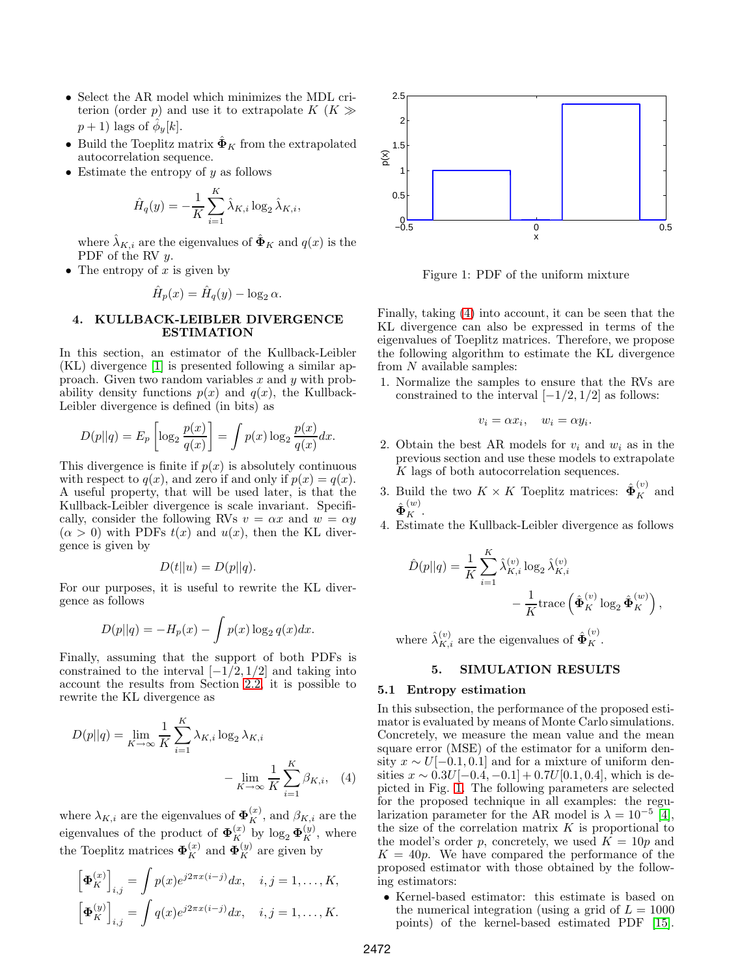- Select the AR model which minimizes the MDL criterion (order p) and use it to extrapolate  $K$  ( $K \gg$  $p+1$ ) lags of  $\hat{\phi}_y[k]$ .
- Build the Toeplitz matrix  $\hat{\Phi}_K$  from the extrapolated autocorrelation sequence.
- Estimate the entropy of  $y$  as follows

$$
\hat{H}_q(y) = -\frac{1}{K} \sum_{i=1}^{K} \hat{\lambda}_{K,i} \log_2 \hat{\lambda}_{K,i},
$$

where  $\hat{\lambda}_{K,i}$  are the eigenvalues of  $\hat{\Phi}_K$  and  $q(x)$  is the PDF of the RV  $y$ .

• The entropy of  $x$  is given by

$$
\hat{H}_p(x) = \hat{H}_q(y) - \log_2 \alpha.
$$

# <span id="page-2-0"></span>4. KULLBACK-LEIBLER DIVERGENCE ESTIMATION

In this section, an estimator of the Kullback-Leibler (KL) divergence [\[1\]](#page-4-0) is presented following a similar approach. Given two random variables  $x$  and  $y$  with probability density functions  $p(x)$  and  $q(x)$ , the Kullback-Leibler divergence is defined (in bits) as

$$
D(p||q) = E_p \left[ \log_2 \frac{p(x)}{q(x)} \right] = \int p(x) \log_2 \frac{p(x)}{q(x)} dx.
$$

This divergence is finite if  $p(x)$  is absolutely continuous with respect to  $q(x)$ , and zero if and only if  $p(x) = q(x)$ . A useful property, that will be used later, is that the Kullback-Leibler divergence is scale invariant. Specifically, consider the following RVs  $v = \alpha x$  and  $w = \alpha y$  $(\alpha > 0)$  with PDFs  $t(x)$  and  $u(x)$ , then the KL divergence is given by

$$
D(t||u) = D(p||q).
$$

For our purposes, it is useful to rewrite the KL divergence as follows

$$
D(p||q) = -H_p(x) - \int p(x) \log_2 q(x) dx.
$$

Finally, assuming that the support of both PDFs is constrained to the interval  $[-1/2, 1/2]$  and taking into account the results from Section [2.2,](#page-1-3) it is possible to rewrite the KL divergence as

$$
D(p||q) = \lim_{K \to \infty} \frac{1}{K} \sum_{i=1}^{K} \lambda_{K,i} \log_2 \lambda_{K,i}
$$

$$
- \lim_{K \to \infty} \frac{1}{K} \sum_{i=1}^{K} \beta_{K,i}, \quad (4)
$$

where  $\lambda_{K,i}$  are the eigenvalues of  $\Phi_K^{(x)}$ , and  $\beta_{K,i}$  are the eigenvalues of the product of  $\mathbf{\Phi}_{K}^{(x)}$  by  $\log_2 \mathbf{\Phi}_{K}^{(y)}$ , where the Toeplitz matrices  $\mathbf{\Phi}_K^{(x)}$  and  $\mathbf{\Phi}_K^{(y)}$  are given by

$$
\begin{aligned} \left[\boldsymbol{\Phi}_K^{(x)}\right]_{i,j} &= \int p(x)e^{j2\pi x(i-j)}dx, \quad i,j = 1,\dots,K, \\ \left[\boldsymbol{\Phi}_K^{(y)}\right]_{i,j} &= \int q(x)e^{j2\pi x(i-j)}dx, \quad i,j = 1,\dots,K. \end{aligned}
$$



<span id="page-2-2"></span>Figure 1: PDF of the uniform mixture

Finally, taking [\(4\)](#page-2-1) into account, it can be seen that the KL divergence can also be expressed in terms of the eigenvalues of Toeplitz matrices. Therefore, we propose the following algorithm to estimate the KL divergence from  $N$  available samples:

1. Normalize the samples to ensure that the RVs are constrained to the interval  $[-1/2, 1/2]$  as follows:

$$
v_i = \alpha x_i, \quad w_i = \alpha y_i.
$$

- 2. Obtain the best AR models for  $v_i$  and  $w_i$  as in the previous section and use these models to extrapolate K lags of both autocorrelation sequences.
- 3. Build the two  $K \times K$  Toeplitz matrices:  $\hat{\mathbf{\Phi}}_K^{(v)}$  and  $\hat{\boldsymbol{\Phi}}_{K}^{(w)}.$
- 4. Estimate the Kullback-Leibler divergence as follows

$$
\hat{D}(p||q) = \frac{1}{K} \sum_{i=1}^{K} \hat{\lambda}_{K,i}^{(v)} \log_2 \hat{\lambda}_{K,i}^{(v)} - \frac{1}{K} \text{trace}\left(\hat{\Phi}_{K}^{(v)} \log_2 \hat{\Phi}_{K}^{(w)}\right),
$$

where  $\hat{\lambda}_{K,i}^{(v)}$  are the eigenvalues of  $\hat{\mathbf{\Phi}}_K^{(v)}$ .

# 5. SIMULATION RESULTS

## 5.1 Entropy estimation

<span id="page-2-1"></span>In this subsection, the performance of the proposed estimator is evaluated by means of Monte Carlo simulations. Concretely, we measure the mean value and the mean square error (MSE) of the estimator for a uniform density  $x \sim U[-0.1, 0.1]$  and for a mixture of uniform densities  $x \sim 0.3U[-0.4, -0.1] + 0.7U[0.1, 0.4]$ , which is depicted in Fig. [1.](#page-2-2) The following parameters are selected for the proposed technique in all examples: the regularization parameter for the AR model is  $\lambda = 10^{-5}$  [\[4\]](#page-4-3), the size of the correlation matrix  $K$  is proportional to the model's order p, concretely, we used  $K = 10p$  and  $K = 40p$ . We have compared the performance of the proposed estimator with those obtained by the following estimators:

• Kernel-based estimator: this estimate is based on the numerical integration (using a grid of  $L = 1000$ ) points) of the kernel-based estimated PDF [\[15\]](#page-4-14).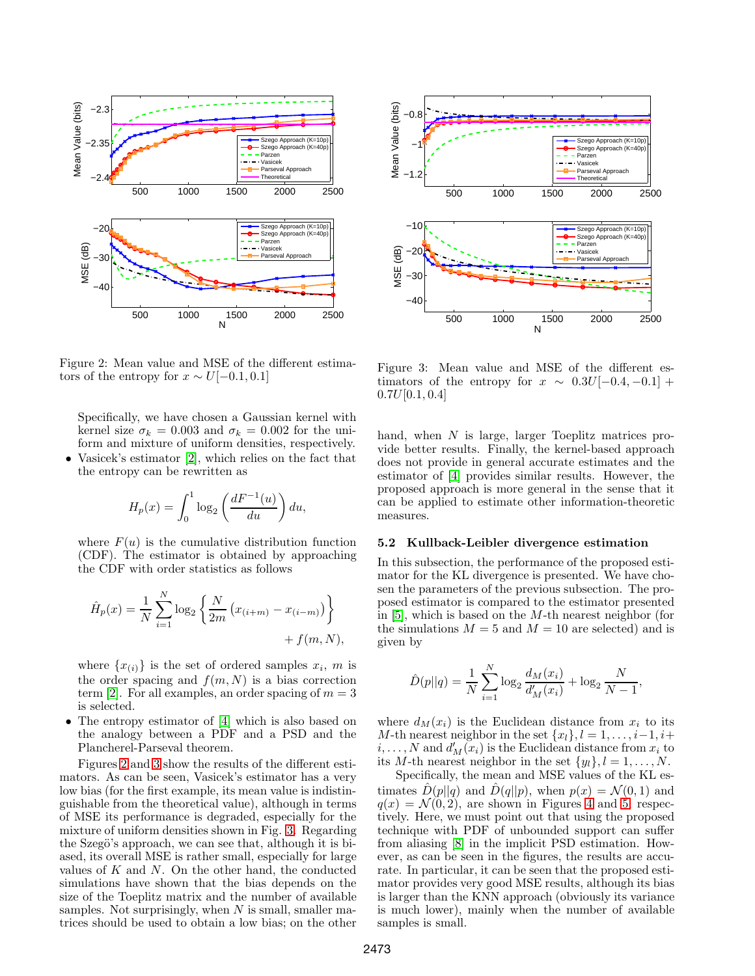

<span id="page-3-0"></span>Figure 2: Mean value and MSE of the different estimators of the entropy for  $x \sim U[-0.1, 0.1]$ 

Specifically, we have chosen a Gaussian kernel with kernel size  $\sigma_k = 0.003$  and  $\sigma_k = 0.002$  for the uniform and mixture of uniform densities, respectively.

• Vasicek's estimator [\[2\]](#page-4-1), which relies on the fact that the entropy can be rewritten as

$$
H_p(x) = \int_0^1 \log_2\left(\frac{dF^{-1}(u)}{du}\right) du,
$$

where  $F(u)$  is the cumulative distribution function (CDF). The estimator is obtained by approaching the CDF with order statistics as follows

$$
\hat{H}_p(x) = \frac{1}{N} \sum_{i=1}^{N} \log_2 \left\{ \frac{N}{2m} \left( x_{(i+m)} - x_{(i-m)} \right) \right\} + f(m, N),
$$

where  $\{x_{(i)}\}$  is the set of ordered samples  $x_i$ , m is the order spacing and  $f(m, N)$  is a bias correction term [\[2\]](#page-4-1). For all examples, an order spacing of  $m = 3$ is selected.

• The entropy estimator of [\[4\]](#page-4-3) which is also based on the analogy between a PDF and a PSD and the Plancherel-Parseval theorem.

Figures [2](#page-3-0) and [3](#page-3-1) show the results of the different estimators. As can be seen, Vasicek's estimator has a very low bias (for the first example, its mean value is indistinguishable from the theoretical value), although in terms of MSE its performance is degraded, especially for the mixture of uniform densities shown in Fig. [3.](#page-3-1) Regarding the Szegö's approach, we can see that, although it is biased, its overall MSE is rather small, especially for large values of  $K$  and  $N$ . On the other hand, the conducted simulations have shown that the bias depends on the size of the Toeplitz matrix and the number of available samples. Not surprisingly, when  $N$  is small, smaller matrices should be used to obtain a low bias; on the other



<span id="page-3-1"></span>Figure 3: Mean value and MSE of the different estimators of the entropy for  $x \sim 0.3U[-0.4, -0.1]$  +  $0.7U[0.1, 0.4]$ 

hand, when N is large, larger Toeplitz matrices provide better results. Finally, the kernel-based approach does not provide in general accurate estimates and the estimator of [\[4\]](#page-4-3) provides similar results. However, the proposed approach is more general in the sense that it can be applied to estimate other information-theoretic measures.

## 5.2 Kullback-Leibler divergence estimation

In this subsection, the performance of the proposed estimator for the KL divergence is presented. We have chosen the parameters of the previous subsection. The proposed estimator is compared to the estimator presented in  $[5]$ , which is based on the M-th nearest neighbor (for the simulations  $M = 5$  and  $M = 10$  are selected) and is given by

$$
\hat{D}(p||q) = \frac{1}{N} \sum_{i=1}^{N} \log_2 \frac{d_M(x_i)}{d_M'(x_i)} + \log_2 \frac{N}{N-1},
$$

where  $d_M(x_i)$  is the Euclidean distance from  $x_i$  to its M-th nearest neighbor in the set  $\{x_l\}, l = 1, \ldots, i-1, i+1$  $i, \ldots, N$  and  $d'_{M}(x_i)$  is the Euclidean distance from  $x_i$  to its M-th nearest neighbor in the set  $\{y_l\}, l = 1, \ldots, N$ .

Specifically, the mean and MSE values of the KL estimates  $D(p||q)$  and  $D(q||p)$ , when  $p(x) = \mathcal{N}(0, 1)$  and  $q(x) = \mathcal{N}(0, 2)$ , are shown in Figures [4](#page-4-15) and [5,](#page-4-16) respectively. Here, we must point out that using the proposed technique with PDF of unbounded support can suffer from aliasing [\[8\]](#page-4-7) in the implicit PSD estimation. However, as can be seen in the figures, the results are accurate. In particular, it can be seen that the proposed estimator provides very good MSE results, although its bias is larger than the KNN approach (obviously its variance is much lower), mainly when the number of available samples is small.